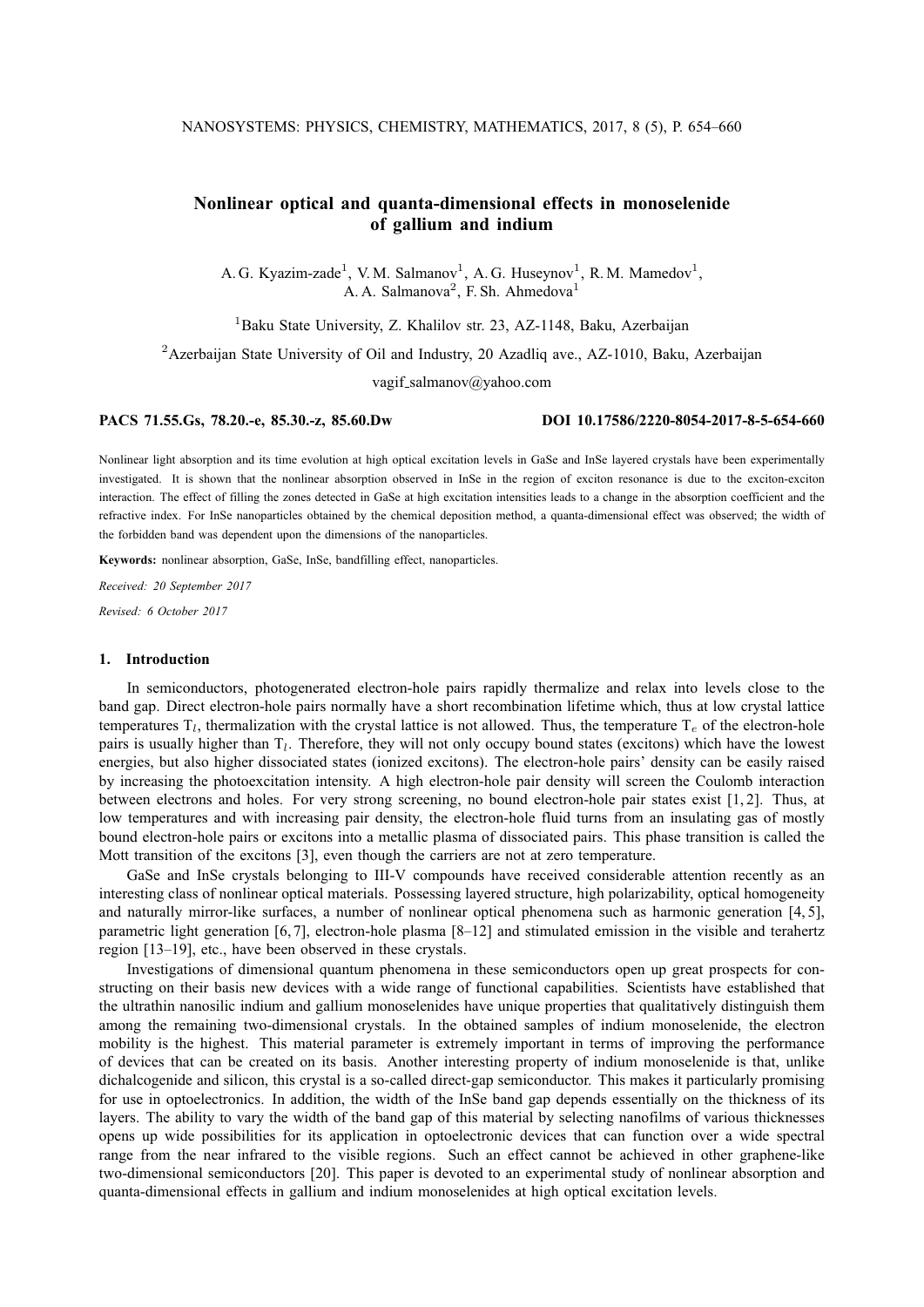# **Nonlinear optical and quanta-dimensional effects in monoselenide of gallium and indium**

A. G. Kyazim-zade<sup>1</sup>, V. M. Salmanov<sup>1</sup>, A. G. Huseynov<sup>1</sup>, R. M. Mamedov<sup>1</sup>, A. A. Salmanova<sup>2</sup>, F. Sh. Ahmedova<sup>1</sup>

<sup>1</sup>Baku State University, Z. Khalilov str. 23, AZ-1148, Baku, Azerbaijan

<sup>2</sup> Azerbaijan State University of Oil and Industry, 20 Azadliq ave., AZ-1010, Baku, Azerbaijan

vagif salmanov@yahoo.com

# **PACS 71.55.Gs, 78.20.-e, 85.30.-z, 85.60.Dw DOI 10.17586/2220-8054-2017-8-5-654-660**

Nonlinear light absorption and its time evolution at high optical excitation levels in GaSe and InSe layered crystals have been experimentally investigated. It is shown that the nonlinear absorption observed in InSe in the region of exciton resonance is due to the exciton-exciton interaction. The effect of filling the zones detected in GaSe at high excitation intensities leads to a change in the absorption coefficient and the refractive index. For InSe nanoparticles obtained by the chemical deposition method, a quanta-dimensional effect was observed; the width of the forbidden band was dependent upon the dimensions of the nanoparticles.

**Keywords:** nonlinear absorption, GaSe, InSe, bandfilling effect, nanoparticles.

*Received: 20 September 2017*

*Revised: 6 October 2017*

# **1. Introduction**

In semiconductors, photogenerated electron-hole pairs rapidly thermalize and relax into levels close to the band gap. Direct electron-hole pairs normally have a short recombination lifetime which, thus at low crystal lattice temperatures  $T_l$ , thermalization with the crystal lattice is not allowed. Thus, the temperature  $T_e$  of the electron-hole pairs is usually higher than  $T_l$ . Therefore, they will not only occupy bound states (excitons) which have the lowest energies, but also higher dissociated states (ionized excitons). The electron-hole pairs' density can be easily raised by increasing the photoexcitation intensity. A high electron-hole pair density will screen the Coulomb interaction between electrons and holes. For very strong screening, no bound electron-hole pair states exist [1, 2]. Thus, at low temperatures and with increasing pair density, the electron-hole fluid turns from an insulating gas of mostly bound electron-hole pairs or excitons into a metallic plasma of dissociated pairs. This phase transition is called the Mott transition of the excitons [3], even though the carriers are not at zero temperature.

GaSe and InSe crystals belonging to III-V compounds have received considerable attention recently as an interesting class of nonlinear optical materials. Possessing layered structure, high polarizability, optical homogeneity and naturally mirror-like surfaces, a number of nonlinear optical phenomena such as harmonic generation [4, 5], parametric light generation [6, 7], electron-hole plasma [8–12] and stimulated emission in the visible and terahertz region [13–19], etc., have been observed in these crystals.

Investigations of dimensional quantum phenomena in these semiconductors open up great prospects for constructing on their basis new devices with a wide range of functional capabilities. Scientists have established that the ultrathin nanosilic indium and gallium monoselenides have unique properties that qualitatively distinguish them among the remaining two-dimensional crystals. In the obtained samples of indium monoselenide, the electron mobility is the highest. This material parameter is extremely important in terms of improving the performance of devices that can be created on its basis. Another interesting property of indium monoselenide is that, unlike dichalcogenide and silicon, this crystal is a so-called direct-gap semiconductor. This makes it particularly promising for use in optoelectronics. In addition, the width of the InSe band gap depends essentially on the thickness of its layers. The ability to vary the width of the band gap of this material by selecting nanofilms of various thicknesses opens up wide possibilities for its application in optoelectronic devices that can function over a wide spectral range from the near infrared to the visible regions. Such an effect cannot be achieved in other graphene-like two-dimensional semiconductors [20]. This paper is devoted to an experimental study of nonlinear absorption and quanta-dimensional effects in gallium and indium monoselenides at high optical excitation levels.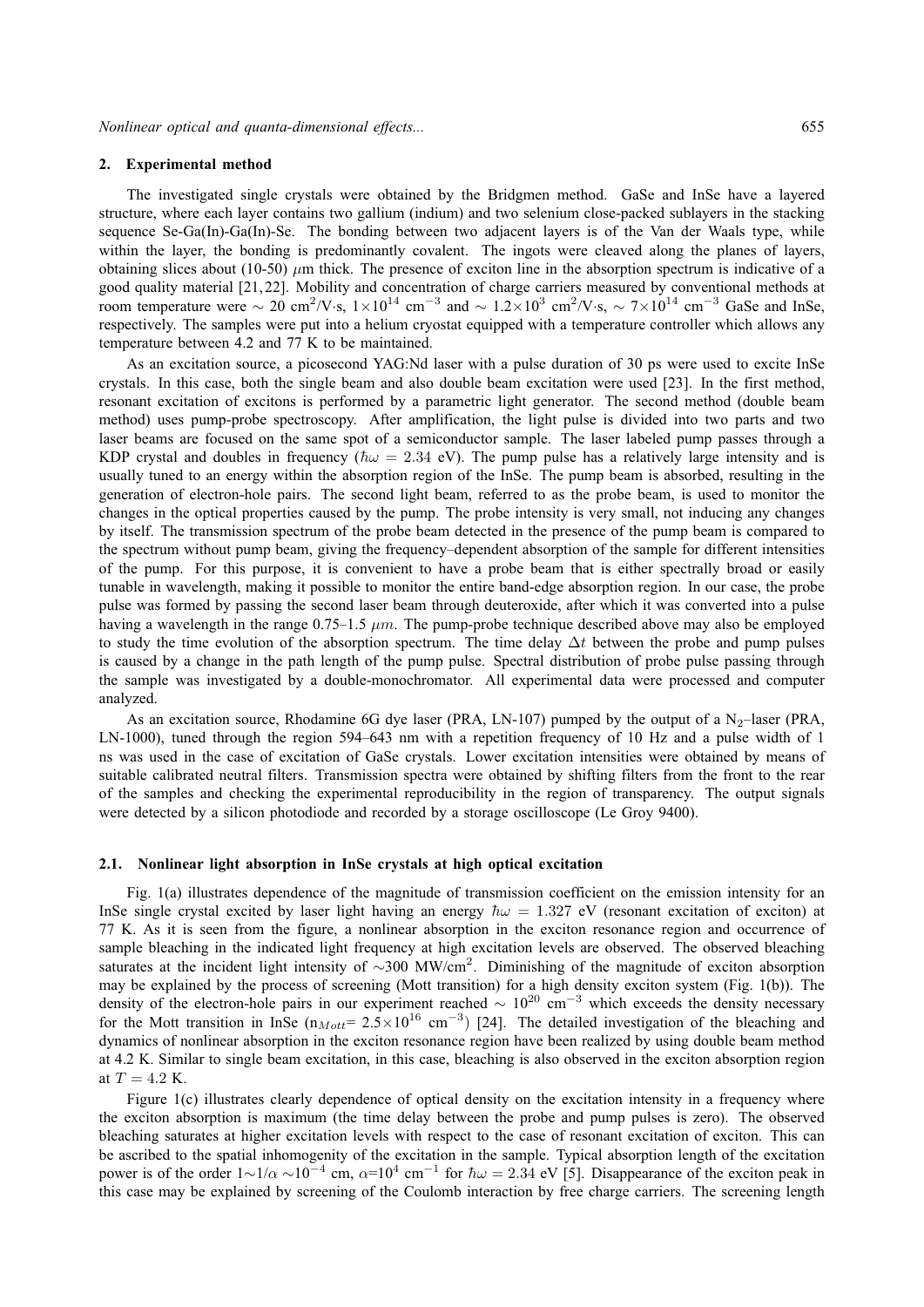#### **2. Experimental method**

The investigated single crystals were obtained by the Bridgmen method. GaSe and InSe have a layered structure, where each layer contains two gallium (indium) and two selenium close-packed sublayers in the stacking sequence Se-Ga(In)-Ga(In)-Se. The bonding between two adjacent layers is of the Van der Waals type, while within the layer, the bonding is predominantly covalent. The ingots were cleaved along the planes of layers, obtaining slices about (10-50)  $\mu$ m thick. The presence of exciton line in the absorption spectrum is indicative of a good quality material [21, 22]. Mobility and concentration of charge carriers measured by conventional methods at room temperature were  $\sim 20 \text{ cm}^2/\text{V} \cdot \text{s}$ ,  $1 \times 10^{14} \text{ cm}^{-3}$  and  $\sim 1.2 \times 10^3 \text{ cm}^2/\text{V} \cdot \text{s}$ ,  $\sim 7 \times 10^{14} \text{ cm}^{-3}$  GaSe and InSe, respectively. The samples were put into a helium cryostat equipped with a temperature controller which allows any temperature between 4.2 and 77 K to be maintained.

As an excitation source, a picosecond YAG:Nd laser with a pulse duration of 30 ps were used to excite InSe crystals. In this case, both the single beam and also double beam excitation were used [23]. In the first method, resonant excitation of excitons is performed by a parametric light generator. The second method (double beam method) uses pump-probe spectroscopy. After amplification, the light pulse is divided into two parts and two laser beams are focused on the same spot of a semiconductor sample. The laser labeled pump passes through a KDP crystal and doubles in frequency ( $\hbar \omega = 2.34$  eV). The pump pulse has a relatively large intensity and is usually tuned to an energy within the absorption region of the InSe. The pump beam is absorbed, resulting in the generation of electron-hole pairs. The second light beam, referred to as the probe beam, is used to monitor the changes in the optical properties caused by the pump. The probe intensity is very small, not inducing any changes by itself. The transmission spectrum of the probe beam detected in the presence of the pump beam is compared to the spectrum without pump beam, giving the frequency–dependent absorption of the sample for different intensities of the pump. For this purpose, it is convenient to have a probe beam that is either spectrally broad or easily tunable in wavelength, making it possible to monitor the entire band-edge absorption region. In our case, the probe pulse was formed by passing the second laser beam through deuteroxide, after which it was converted into a pulse having a wavelength in the range  $0.75-1.5 \ \mu m$ . The pump-probe technique described above may also be employed to study the time evolution of the absorption spectrum. The time delay  $\Delta t$  between the probe and pump pulses is caused by a change in the path length of the pump pulse. Spectral distribution of probe pulse passing through the sample was investigated by a double-monochromator. All experimental data were processed and computer analyzed.

As an excitation source, Rhodamine 6G dye laser (PRA, LN-107) pumped by the output of a N<sub>2</sub>-laser (PRA, LN-1000), tuned through the region 594–643 nm with a repetition frequency of 10 Hz and a pulse width of 1 ns was used in the case of excitation of GaSe crystals. Lower excitation intensities were obtained by means of suitable calibrated neutral filters. Transmission spectra were obtained by shifting filters from the front to the rear of the samples and checking the experimental reproducibility in the region of transparency. The output signals were detected by a silicon photodiode and recorded by a storage oscilloscope (Le Groy 9400).

## **2.1. Nonlinear light absorption in InSe crystals at high optical excitation**

Fig. 1(a) illustrates dependence of the magnitude of transmission coefficient on the emission intensity for an InSe single crystal excited by laser light having an energy  $\hbar \omega = 1.327$  eV (resonant excitation of exciton) at 77 K. As it is seen from the figure, a nonlinear absorption in the exciton resonance region and occurrence of sample bleaching in the indicated light frequency at high excitation levels are observed. The observed bleaching saturates at the incident light intensity of ~300 MW/cm<sup>2</sup>. Diminishing of the magnitude of exciton absorption may be explained by the process of screening (Mott transition) for a high density exciton system (Fig. 1(b)). The density of the electron-hole pairs in our experiment reached  $\sim 10^{20}$  cm<sup>-3</sup> which exceeds the density necessary for the Mott transition in InSe ( $n_{Mott}$ = 2.5×10<sup>16</sup> cm<sup>-3</sup>) [24]. The detailed investigation of the bleaching and dynamics of nonlinear absorption in the exciton resonance region have been realized by using double beam method at 4.2 K. Similar to single beam excitation, in this case, bleaching is also observed in the exciton absorption region at  $T = 4.2$  K.

Figure 1(c) illustrates clearly dependence of optical density on the excitation intensity in a frequency where the exciton absorption is maximum (the time delay between the probe and pump pulses is zero). The observed bleaching saturates at higher excitation levels with respect to the case of resonant excitation of exciton. This can be ascribed to the spatial inhomogenity of the excitation in the sample. Typical absorption length of the excitation power is of the order  $1 \sim 1/\alpha \sim 10^{-4}$  cm,  $\alpha = 10^4$  cm<sup>-1</sup> for  $\hbar \omega = 2.34$  eV [5]. Disappearance of the exciton peak in this case may be explained by screening of the Coulomb interaction by free charge carriers. The screening length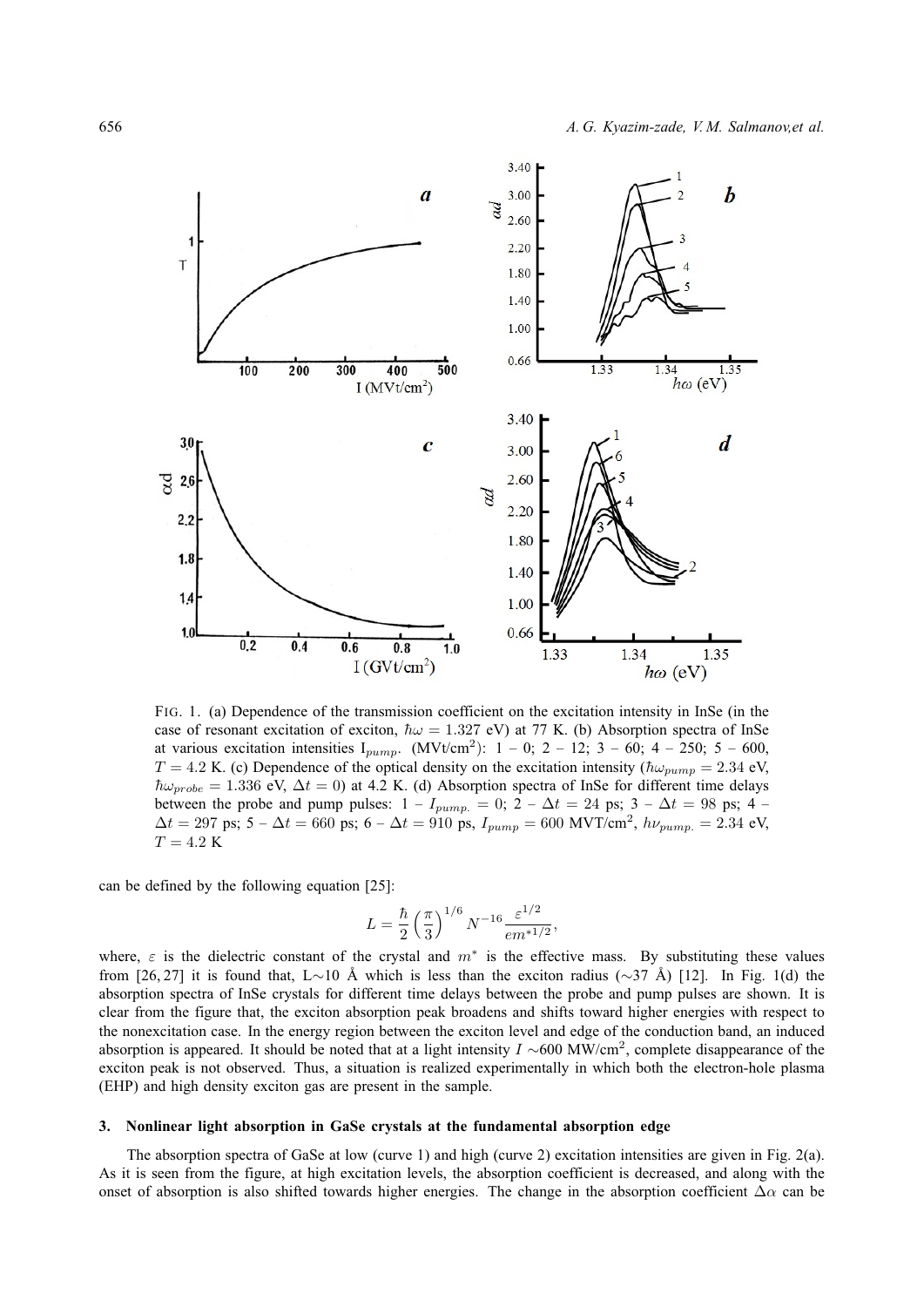

FIG. 1. (a) Dependence of the transmission coefficient on the excitation intensity in InSe (in the case of resonant excitation of exciton,  $\hbar \omega = 1.327$  eV) at 77 K. (b) Absorption spectra of InSe at various excitation intensities  $I_{pump}$ . (MVt/cm<sup>2</sup>): 1 – 0; 2 – 12; 3 – 60; 4 – 250; 5 – 600,  $T = 4.2$  K. (c) Dependence of the optical density on the excitation intensity ( $\hbar\omega_{pump} = 2.34$  eV,  $\hbar\omega_{probe} = 1.336$  eV,  $\Delta t = 0$ ) at 4.2 K. (d) Absorption spectra of InSe for different time delays between the probe and pump pulses:  $1 - I_{pump.} = 0$ ;  $2 - \Delta t = 24$  ps;  $3 - \Delta t = 98$  ps; 4 –  $\Delta t = 297$  ps; 5 –  $\Delta t = 660$  ps; 6 –  $\Delta t = 910$  ps,  $I_{pump} = 600$  MVT/cm<sup>2</sup>,  $h\nu_{pump.} = 2.34$  eV,  $T = 4.2$  K

can be defined by the following equation [25]:

$$
L = \frac{\hbar}{2} \left(\frac{\pi}{3}\right)^{1/6} N^{-16} \frac{\varepsilon^{1/2}}{em^{*1/2}},
$$

where,  $\varepsilon$  is the dielectric constant of the crystal and  $m^*$  is the effective mass. By substituting these values from [26, 27] it is found that, L∼10 Å which is less than the exciton radius ( $\sim$ 37 Å) [12]. In Fig. 1(d) the absorption spectra of InSe crystals for different time delays between the probe and pump pulses are shown. It is clear from the figure that, the exciton absorption peak broadens and shifts toward higher energies with respect to the nonexcitation case. In the energy region between the exciton level and edge of the conduction band, an induced absorption is appeared. It should be noted that at a light intensity  $I \sim 600 \text{ MW/cm}^2$ , complete disappearance of the exciton peak is not observed. Thus, a situation is realized experimentally in which both the electron-hole plasma (EHP) and high density exciton gas are present in the sample.

# **3. Nonlinear light absorption in GaSe crystals at the fundamental absorption edge**

The absorption spectra of GaSe at low (curve 1) and high (curve 2) excitation intensities are given in Fig. 2(a). As it is seen from the figure, at high excitation levels, the absorption coefficient is decreased, and along with the onset of absorption is also shifted towards higher energies. The change in the absorption coefficient  $\Delta \alpha$  can be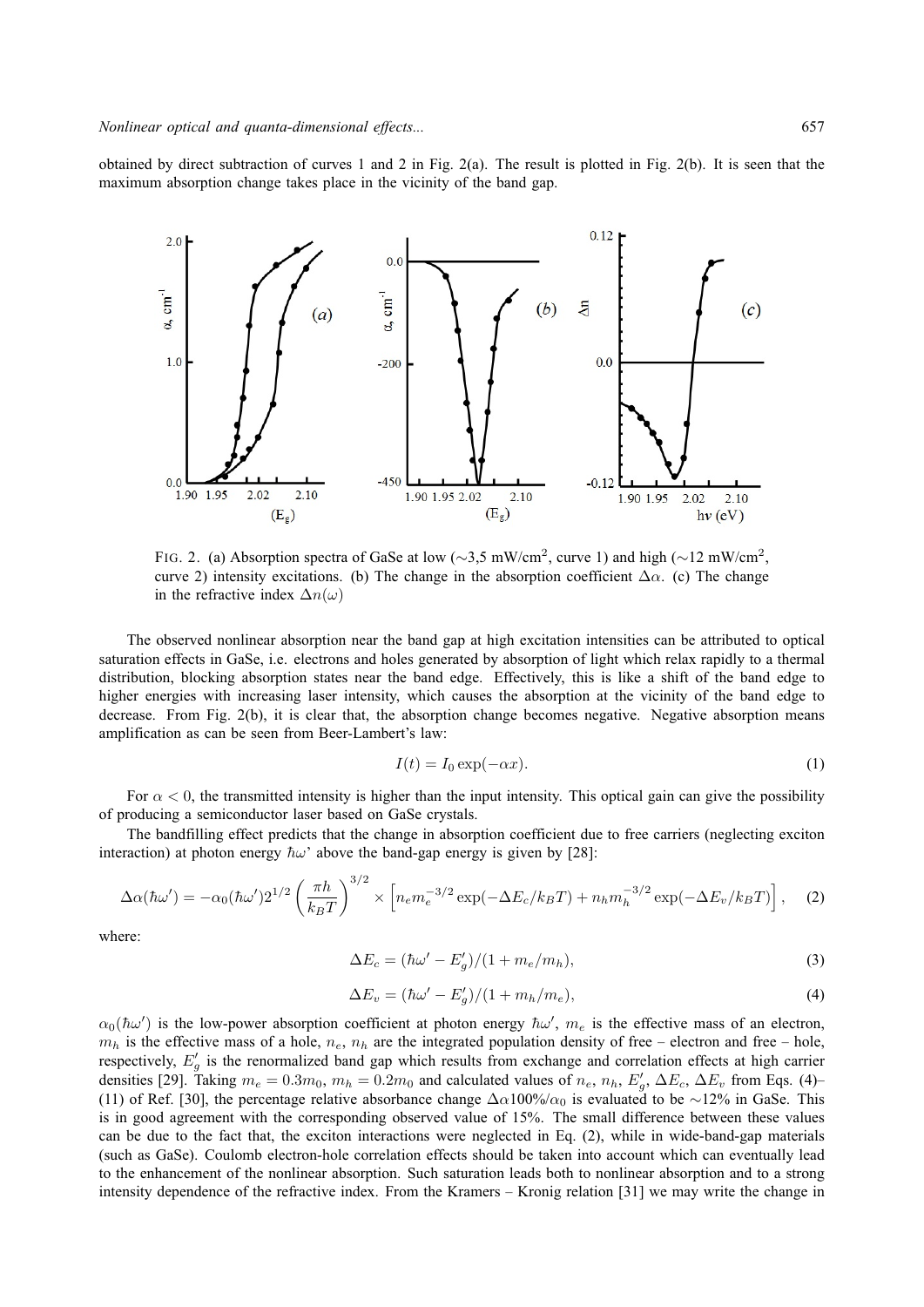obtained by direct subtraction of curves 1 and 2 in Fig. 2(a). The result is plotted in Fig. 2(b). It is seen that the maximum absorption change takes place in the vicinity of the band gap.



FIG. 2. (a) Absorption spectra of GaSe at low ( $\sim$ 3,5 mW/cm<sup>2</sup>, curve 1) and high ( $\sim$ 12 mW/cm<sup>2</sup>, curve 2) intensity excitations. (b) The change in the absorption coefficient  $\Delta \alpha$ . (c) The change in the refractive index  $\Delta n(\omega)$ 

The observed nonlinear absorption near the band gap at high excitation intensities can be attributed to optical saturation effects in GaSe, i.e. electrons and holes generated by absorption of light which relax rapidly to a thermal distribution, blocking absorption states near the band edge. Effectively, this is like a shift of the band edge to higher energies with increasing laser intensity, which causes the absorption at the vicinity of the band edge to decrease. From Fig. 2(b), it is clear that, the absorption change becomes negative. Negative absorption means amplification as can be seen from Beer-Lambert's law:

$$
I(t) = I_0 \exp(-\alpha x). \tag{1}
$$

For  $\alpha$  < 0, the transmitted intensity is higher than the input intensity. This optical gain can give the possibility of producing a semiconductor laser based on GaSe crystals.

The bandfilling effect predicts that the change in absorption coefficient due to free carriers (neglecting exciton interaction) at photon energy  $\hbar \omega$  above the band-gap energy is given by [28]:

$$
\Delta \alpha(\hbar \omega') = -\alpha_0(\hbar \omega') 2^{1/2} \left(\frac{\pi h}{k_B T}\right)^{3/2} \times \left[ n_e m_e^{-3/2} \exp(-\Delta E_c / k_B T) + n_h m_h^{-3/2} \exp(-\Delta E_v / k_B T) \right], \quad (2)
$$

where:

$$
\Delta E_c = (\hbar \omega' - E_g')/(1 + m_e/m_h),\tag{3}
$$

$$
\Delta E_v = (\hbar \omega' - E_g')/(1 + m_h/m_e),\tag{4}
$$

 $\alpha_0(\hbar\omega')$  is the low-power absorption coefficient at photon energy  $\hbar\omega'$ ,  $m_e$  is the effective mass of an electron,  $m_h$  is the effective mass of a hole,  $n_e$ ,  $n_h$  are the integrated population density of free – electron and free – hole, respectively,  $E'_{g}$  is the renormalized band gap which results from exchange and correlation effects at high carrier densities [29]. Taking  $m_e = 0.3m_0$ ,  $m_h = 0.2m_0$  and calculated values of  $n_e$ ,  $n_h$ ,  $E'_g$ ,  $\Delta E_c$ ,  $\Delta E_v$  from Eqs. (4)-(11) of Ref. [30], the percentage relative absorbance change  $\Delta \alpha 100\%/\alpha_0$  is evaluated to be ∼12% in GaSe. This is in good agreement with the corresponding observed value of 15%. The small difference between these values can be due to the fact that, the exciton interactions were neglected in Eq. (2), while in wide-band-gap materials (such as GaSe). Coulomb electron-hole correlation effects should be taken into account which can eventually lead to the enhancement of the nonlinear absorption. Such saturation leads both to nonlinear absorption and to a strong intensity dependence of the refractive index. From the Kramers – Kronig relation [31] we may write the change in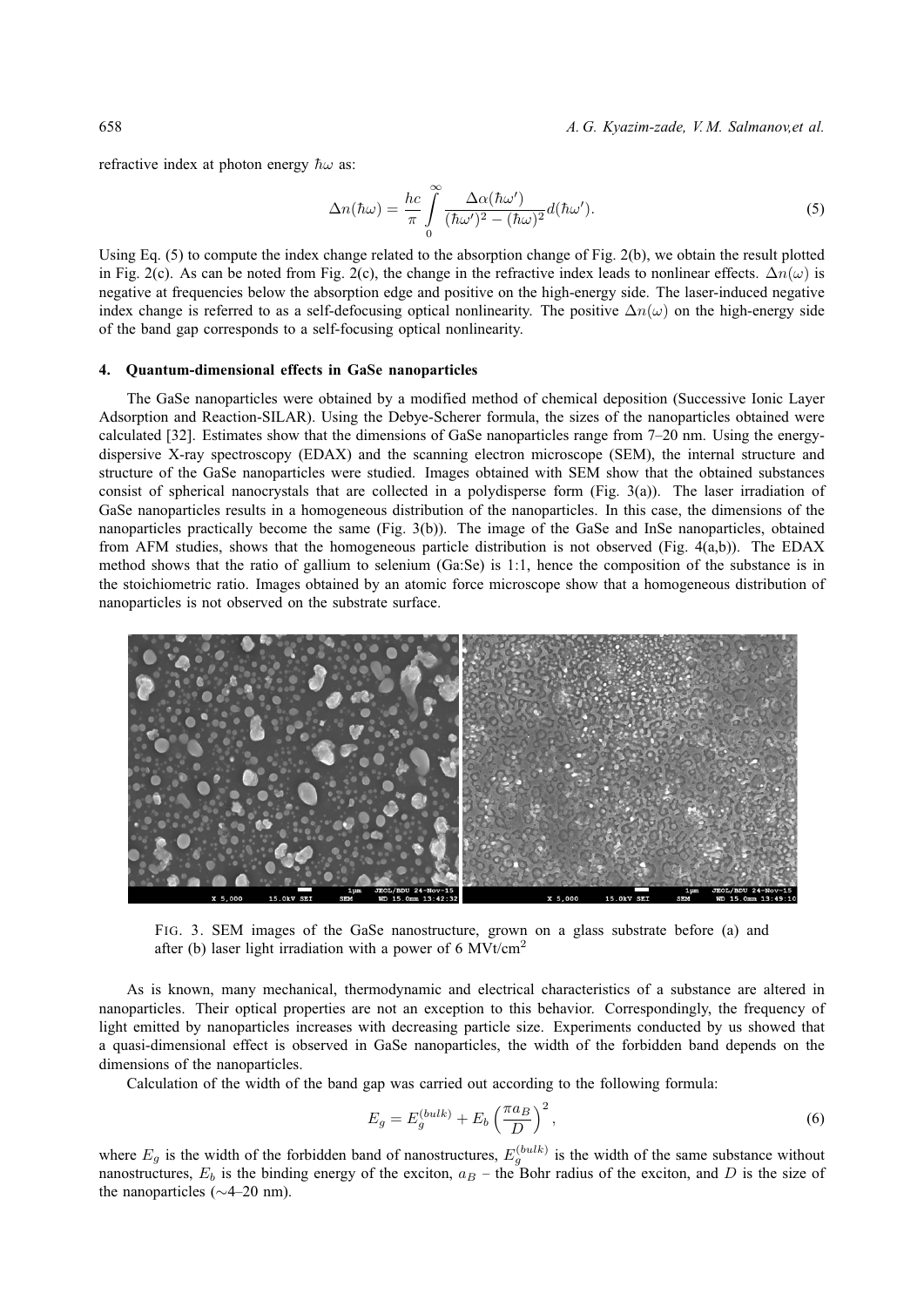658 *A. G. Kyazim-zade, V. M. Salmanov,et al.*

refractive index at photon energy  $\hbar\omega$  as:

$$
\Delta n(\hbar\omega) = \frac{hc}{\pi} \int_{0}^{\infty} \frac{\Delta \alpha(\hbar\omega')}{(\hbar\omega')^2 - (\hbar\omega)^2} d(\hbar\omega'). \tag{5}
$$

Using Eq. (5) to compute the index change related to the absorption change of Fig. 2(b), we obtain the result plotted in Fig. 2(c). As can be noted from Fig. 2(c), the change in the refractive index leads to nonlinear effects.  $\Delta n(\omega)$  is negative at frequencies below the absorption edge and positive on the high-energy side. The laser-induced negative index change is referred to as a self-defocusing optical nonlinearity. The positive  $\Delta n(\omega)$  on the high-energy side of the band gap corresponds to a self-focusing optical nonlinearity.

#### **4. Quantum-dimensional effects in GaSe nanoparticles**

The GaSe nanoparticles were obtained by a modified method of chemical deposition (Successive Ionic Layer Adsorption and Reaction-SILAR). Using the Debye-Scherer formula, the sizes of the nanoparticles obtained were calculated [32]. Estimates show that the dimensions of GaSe nanoparticles range from 7–20 nm. Using the energydispersive X-ray spectroscopy (EDAX) and the scanning electron microscope (SEM), the internal structure and structure of the GaSe nanoparticles were studied. Images obtained with SEM show that the obtained substances consist of spherical nanocrystals that are collected in a polydisperse form (Fig.  $3(a)$ ). The laser irradiation of GaSe nanoparticles results in a homogeneous distribution of the nanoparticles. In this case, the dimensions of the nanoparticles practically become the same (Fig. 3(b)). The image of the GaSe and InSe nanoparticles, obtained from AFM studies, shows that the homogeneous particle distribution is not observed (Fig. 4(a,b)). The EDAX method shows that the ratio of gallium to selenium (Ga:Se) is 1:1, hence the composition of the substance is in the stoichiometric ratio. Images obtained by an atomic force microscope show that a homogeneous distribution of nanoparticles is not observed on the substrate surface.



FIG. 3. SEM images of the GaSe nanostructure, grown on a glass substrate before (a) and after (b) laser light irradiation with a power of 6  $MV/cm<sup>2</sup>$ 

As is known, many mechanical, thermodynamic and electrical characteristics of a substance are altered in nanoparticles. Their optical properties are not an exception to this behavior. Correspondingly, the frequency of light emitted by nanoparticles increases with decreasing particle size. Experiments conducted by us showed that a quasi-dimensional effect is observed in GaSe nanoparticles, the width of the forbidden band depends on the dimensions of the nanoparticles.

Calculation of the width of the band gap was carried out according to the following formula:

$$
E_g = E_g^{(bulk)} + E_b \left(\frac{\pi a_B}{D}\right)^2,\tag{6}
$$

where  $E_g$  is the width of the forbidden band of nanostructures,  $E_g^{(bulk)}$  is the width of the same substance without nanostructures,  $E_b$  is the binding energy of the exciton,  $a_B$  – the Bohr radius of the exciton, and D is the size of the nanoparticles (∼4–20 nm).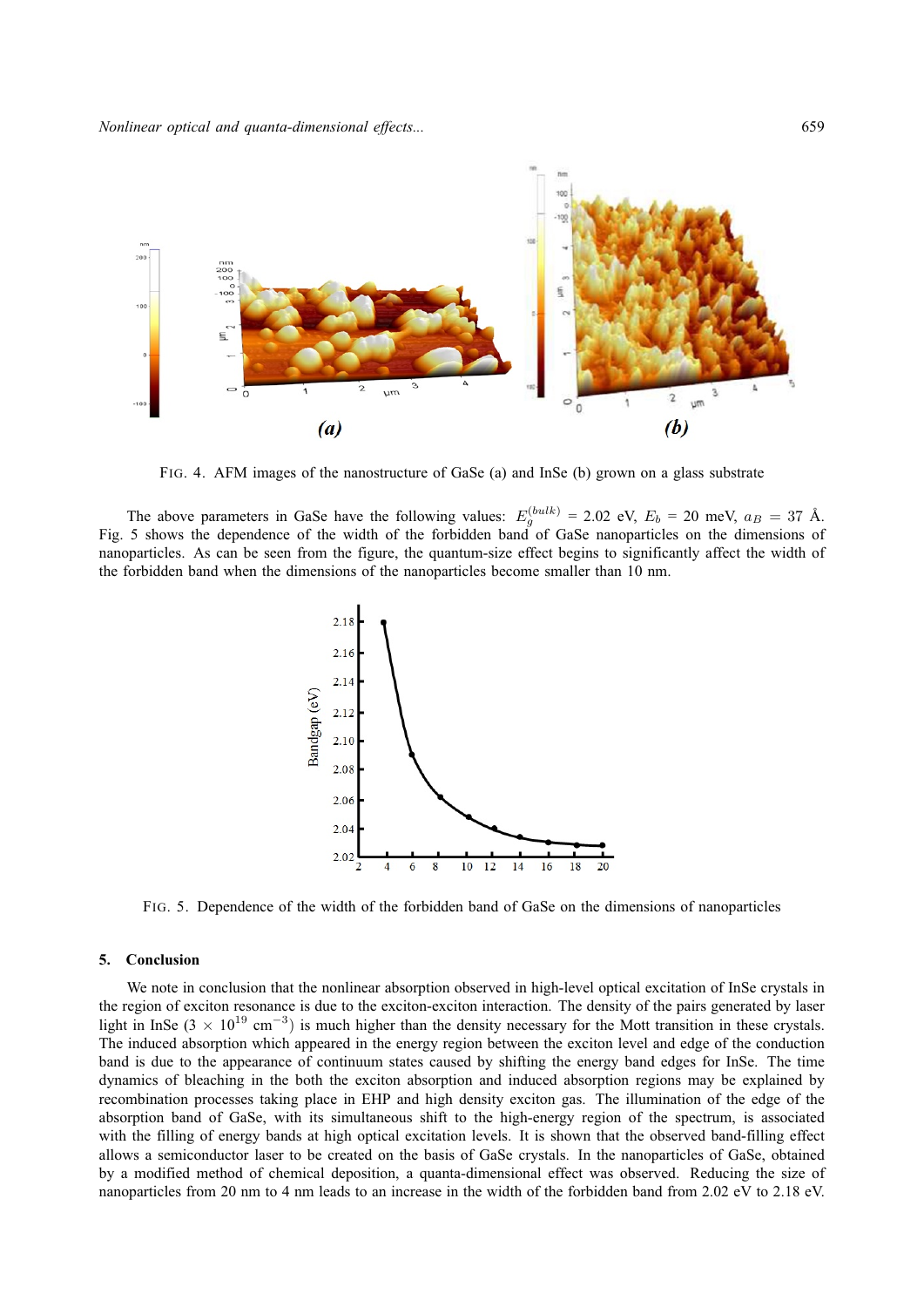

FIG. 4. AFM images of the nanostructure of GaSe (a) and InSe (b) grown on a glass substrate

The above parameters in GaSe have the following values:  $E_g^{(bulk)} = 2.02$  eV,  $E_b = 20$  meV,  $a_B = 37$  Å. Fig. 5 shows the dependence of the width of the forbidden band of GaSe nanoparticles on the dimensions of nanoparticles. As can be seen from the figure, the quantum-size effect begins to significantly affect the width of the forbidden band when the dimensions of the nanoparticles become smaller than 10 nm.



FIG. 5. Dependence of the width of the forbidden band of GaSe on the dimensions of nanoparticles

### **5. Conclusion**

We note in conclusion that the nonlinear absorption observed in high-level optical excitation of InSe crystals in the region of exciton resonance is due to the exciton-exciton interaction. The density of the pairs generated by laser light in InSe (3 × 10<sup>19</sup> cm<sup>-3</sup>) is much higher than the density necessary for the Mott transition in these crystals. The induced absorption which appeared in the energy region between the exciton level and edge of the conduction band is due to the appearance of continuum states caused by shifting the energy band edges for InSe. The time dynamics of bleaching in the both the exciton absorption and induced absorption regions may be explained by recombination processes taking place in EHP and high density exciton gas. The illumination of the edge of the absorption band of GaSe, with its simultaneous shift to the high-energy region of the spectrum, is associated with the filling of energy bands at high optical excitation levels. It is shown that the observed band-filling effect allows a semiconductor laser to be created on the basis of GaSe crystals. In the nanoparticles of GaSe, obtained by a modified method of chemical deposition, a quanta-dimensional effect was observed. Reducing the size of nanoparticles from 20 nm to 4 nm leads to an increase in the width of the forbidden band from 2.02 eV to 2.18 eV.